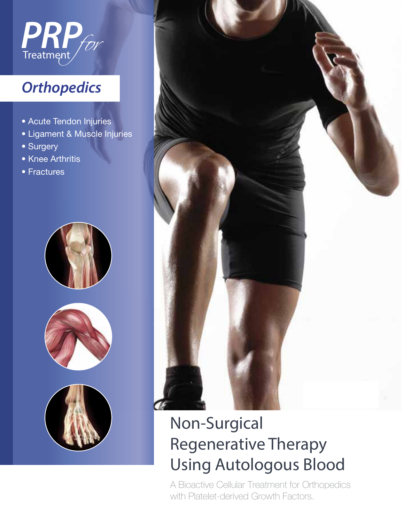

## **Orthopedics**

- Acute Tendon Injuries
- · Ligament & Muscle Injuries
- Surgery
- · Knee Arthritis
- Fractures









# **Non-Surgical Regenerative Therapy Using Autologous Blood**

A Bioactive Cellular Treatment for Orthopedics with Platelet-derived Growth Factors.